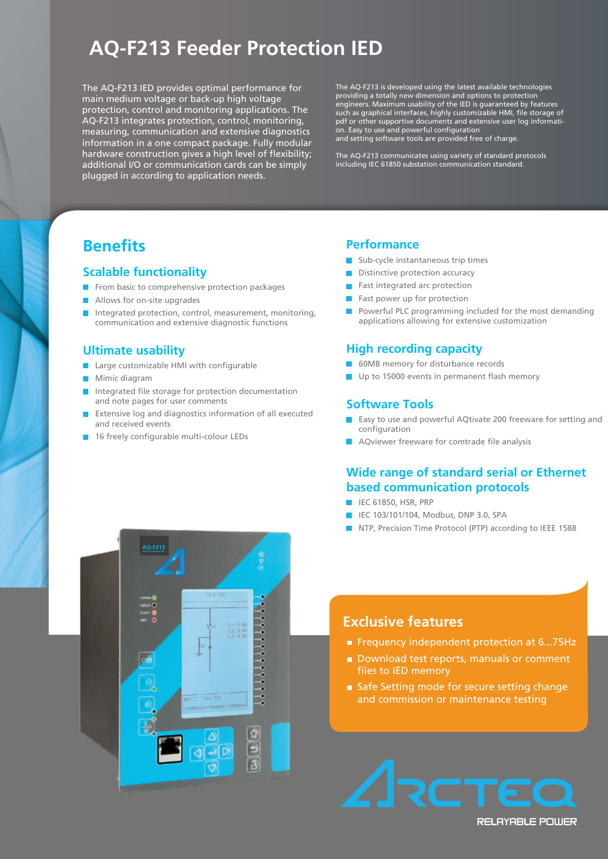# **AQ-F213 Feeder Protection IED**

The AQ-F213 IED provides optimal performance for main medium voltage or back-up high voltage protection, control and monitoring applications. The AQ-F213 integrates protection, control, monitoring, measuring, communication and extensive diagnostics information in a one compact package. Fully modular hardware construction gives a high level of flexibility; additional I/O or communication cards can be simply plugged in according to application needs.

The AQ-F213 is developed using the latest available technologies providing a totally new dimension and options to protection engineers. Maximum usability of the IED is guaranteed by features such as graphical interfaces, highly customizable HMI, file storage of pdf or other supportive documents and extensive user log information. Easy to use and powerful configuration and setting software tools are provided free of charge.

The AQ-F213 communicates using variety of standard protocols including IEC 61850 substation communication standard.

## **Benefits**

# **Scalable functionality**

- From basic to comprehensive protection packages<br>Allows for on-site upgrades
- **Allows for on-site upgrades**
- Integrated protection, cor<br>communication and exten Integrated protection, control, measurement, monitoring, communication and extensive diagnostic functions

#### **Ultimate usability**

- **Iltimate usability**<br>Large customizable HMI with configurable
- **Mimic diagram**
- **Integrated file storage for protection documentation** and note pages for user comments
- **Extensive log and diagnostics information of all executed** and received events
- **16 freely configurable multi-colour LEDs**

#### **Performance**

- **Sub-cycle instantaneous trip times**
- Distinctive protection accuracy
- Fast integrated arc protection
- **Fast power up for protection**
- applications allowing for extensive customization **Powerful PLC programming included for the most demanding**

#### **High recording capacity**

- 60MB memory for disturbance records
- Up to 15000 events in permanent flash memory

#### **Software Tools Software Tools**

- **Easy to use and powerful AQtivate 200 freeware for setting and** configuration
- AQviewer freeware for comtrade file analysis

#### values and load profiling **Wide range of standard serial or Ethernet based communication protocols**

- **IEC 61850, HSR, PRP**
- **IEC 103/101/104, Modbus, DNP 3.0, SPA**
- NTP, Precision Time Protocol (PTP) according to IEEE 1588



- Frequency independent protection at 6...75Hz
- Download test reports, manuals or comment files to IED memory
- Safe Setting mode for secure setting change and commission or maintenance testing